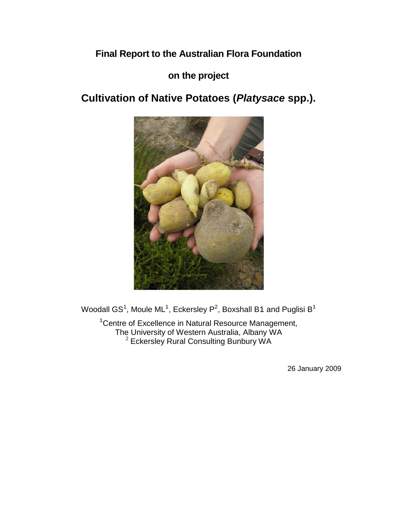# **Final Report to the Australian Flora Foundation**

## **on the project**

# **Cultivation of Native Potatoes (***Platysace* **spp.).**



Woodall GS<sup>1</sup>, Moule ML<sup>1</sup>, Eckersley P<sup>2</sup>, Boxshall B1 and Puglisi B<sup>1</sup>

<sup>1</sup> Centre of Excellence in Natural Resource Management, The University of Western Australia, Albany WA  $2$  Eckersley Rural Consulting Bunbury WA

26 January 2009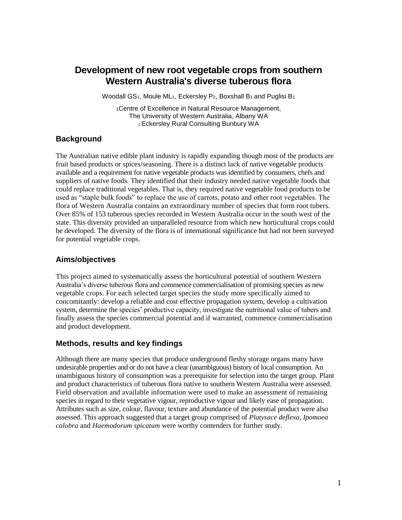## **Development of new root vegetable crops from southern Western Australia's diverse tuberous flora**

Woodall GS<sub>1</sub>, Moule ML<sub>1</sub>, Eckersley P<sub>2</sub>, Boxshall B<sub>1</sub> and Puglisi B<sub>1</sub>

1Centre of Excellence in Natural Resource Management, The University of Western Australia, Albany WA <sup>2</sup>Eckersley Rural Consulting Bunbury WA

## **Background**

The Australian native edible plant industry is rapidly expanding though most of the products are fruit based products or spices/seasoning. There is a distinct lack of native vegetable products available and a requirement for native vegetable products was identified by consumers, chefs and suppliers of native foods. They identified that their industry needed native vegetable foods that could replace traditional vegetables. That is, they required native vegetable food products to be used as "staple bulk foods" to replace the use of carrots, potato and other root vegetables. The flora of Western Australia contains an extraordinary number of species that form root tubers. Over 85% of 153 tuberous species recorded in Western Australia occur in the south west of the state. This diversity provided an unparalleled resource from which new horticultural crops could be developed. The diversity of the flora is of international significance but had not been surveyed for potential vegetable crops.

#### **Aims/objectives**

This project aimed to systematically assess the horticultural potential of southern Western Australia's diverse tuberous flora and commence commercialisation of promising species as new vegetable crops. For each selected target species the study more specifically aimed to concomitantly: develop a reliable and cost effective propagation system, develop a cultivation system, determine the species' productive capacity, investigate the nutritional value of tubers and finally assess the species commercial potential and if warranted, commence commercialisation and product development.

#### **Methods, results and key findings**

Although there are many species that produce underground fleshy storage organs many have undesirable properties and or do not have a clear (unambiguous) history of local consumption. An unambiguous history of consumption was a prerequisite for selection into the target group. Plant and product characteristics of tuberous flora native to southern Western Australia were assessed. Field observation and available information were used to make an assessment of remaining species in regard to their vegetative vigour, reproductive vigour and likely ease of propagation. Attributes such as size, colour, flavour, texture and abundance of the potential product were also assessed. This approach suggested that a target group comprised of *Platysace deflexa*, *Ipomoea calobra* and *Haemodorum spicatum* were worthy contenders for further study.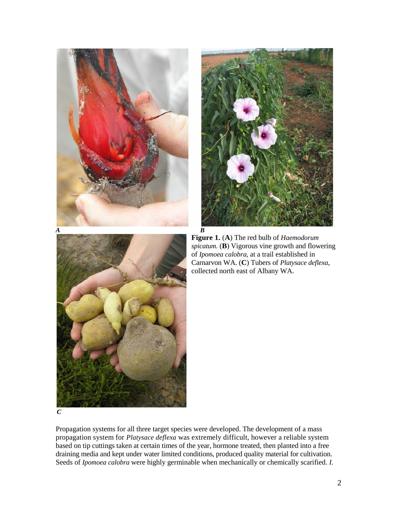



**Figure 1.** (**A**) The red bulb of *Haemodorum spicatum.* (**B**) Vigorous vine growth and flowering of *Ipomoea calobra,* at a trail established in Carnarvon WA. (**C**) Tubers of *Platysace deflexa*, collected north east of Albany WA.

*C*

Propagation systems for all three target species were developed. The development of a mass propagation system for *Platysace deflexa* was extremely difficult, however a reliable system based on tip cuttings taken at certain times of the year, hormone treated, then planted into a free draining media and kept under water limited conditions, produced quality material for cultivation. Seeds of *Ipomoea calobra* were highly germinable when mechanically or chemically scarified. *I.*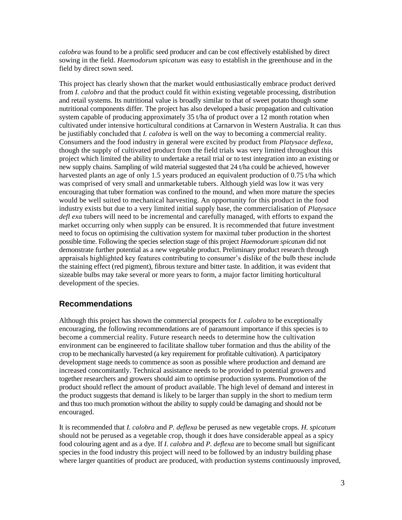*calobra* was found to be a prolific seed producer and can be cost effectively established by direct sowing in the field. *Haemodorum spicatum* was easy to establish in the greenhouse and in the field by direct sown seed.

This project has clearly shown that the market would enthusiastically embrace product derived from *I. calobra* and that the product could fit within existing vegetable processing, distribution and retail systems. Its nutritional value is broadly similar to that of sweet potato though some nutritional components differ. The project has also developed a basic propagation and cultivation system capable of producing approximately 35 t/ha of product over a 12 month rotation when cultivated under intensive horticultural conditions at Carnarvon in Western Australia. It can thus be justifiably concluded that *I. calobra* is well on the way to becoming a commercial reality. Consumers and the food industry in general were excited by product from *Platysace deflexa*, though the supply of cultivated product from the field trials was very limited throughout this project which limited the ability to undertake a retail trial or to test integration into an existing or new supply chains. Sampling of wild material suggested that 24 t/ha could be achieved, however harvested plants an age of only 1.5 years produced an equivalent production of 0.75 t/ha which was comprised of very small and unmarketable tubers. Although yield was low it was very encouraging that tuber formation was confined to the mound, and when more mature the species would be well suited to mechanical harvesting. An opportunity for this product in the food industry exists but due to a very limited initial supply base, the commercialisation of *Platysace defl exa* tubers will need to be incremental and carefully managed, with efforts to expand the market occurring only when supply can be ensured. It is recommended that future investment need to focus on optimising the cultivation system for maximal tuber production in the shortest possible time. Following the species selection stage of this project *Haemodorum spicatum* did not demonstrate further potential as a new vegetable product. Preliminary product research through appraisals highlighted key features contributing to consumer's dislike of the bulb these include the staining effect (red pigment), fibrous texture and bitter taste. In addition, it was evident that sizeable bulbs may take several or more years to form, a major factor limiting horticultural development of the species.

#### **Recommendations**

Although this project has shown the commercial prospects for *I. calobra* to be exceptionally encouraging, the following recommendations are of paramount importance if this species is to become a commercial reality. Future research needs to determine how the cultivation environment can be engineered to facilitate shallow tuber formation and thus the ability of the crop to be mechanically harvested (a key requirement for profitable cultivation). A participatory development stage needs to commence as soon as possible where production and demand are increased concomitantly. Technical assistance needs to be provided to potential growers and together researchers and growers should aim to optimise production systems. Promotion of the product should reflect the amount of product available. The high level of demand and interest in the product suggests that demand is likely to be larger than supply in the short to medium term and thus too much promotion without the ability to supply could be damaging and should not be encouraged.

It is recommended that *I. calobra* and *P. deflexa* be perused as new vegetable crops. *H. spicatum*  should not be perused as a vegetable crop, though it does have considerable appeal as a spicy food colouring agent and as a dye. If *I. calobra* and *P. deflexa* are to become small but significant species in the food industry this project will need to be followed by an industry building phase where larger quantities of product are produced, with production systems continuously improved,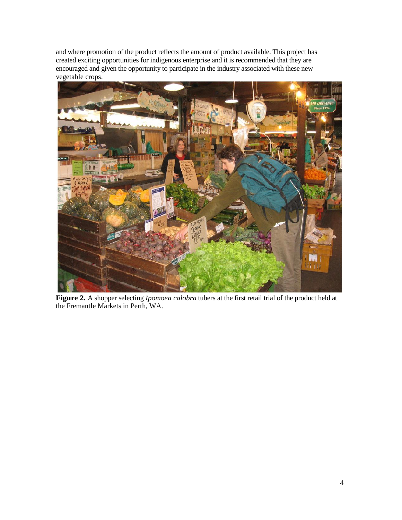and where promotion of the product reflects the amount of product available. This project has created exciting opportunities for indigenous enterprise and it is recommended that they are encouraged and given the opportunity to participate in the industry associated with these new vegetable crops.



**Figure 2.** A shopper selecting *Ipomoea calobra* tubers at the first retail trial of the product held at the Fremantle Markets in Perth, WA.